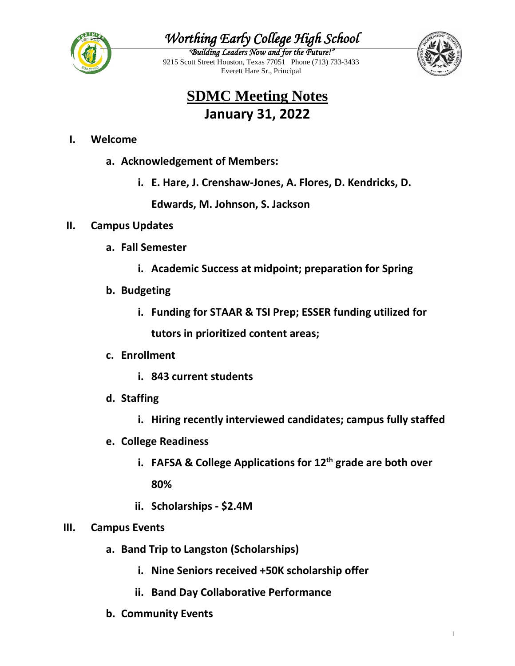

## *Worthing Early College High School*

*"Building Leaders Now and for the Future!"*  9215 Scott Street Houston, Texas 77051 Phone (713) 733-3433 Everett Hare Sr., Principal



## **SDMC Meeting Notes January 31, 2022**

### **I. Welcome**

- **a. Acknowledgement of Members:**
	- **i. E. Hare, J. Crenshaw-Jones, A. Flores, D. Kendricks, D.**

**Edwards, M. Johnson, S. Jackson**

#### **II. Campus Updates**

- **a. Fall Semester**
	- **i. Academic Success at midpoint; preparation for Spring**
- **b. Budgeting**
	- **i. Funding for STAAR & TSI Prep; ESSER funding utilized for tutors in prioritized content areas;**
- **c. Enrollment**
	- **i. 843 current students**
- **d. Staffing**
	- **i. Hiring recently interviewed candidates; campus fully staffed**
- **e. College Readiness**
	- **i. FAFSA & College Applications for 12th grade are both over 80%**
	- **ii. Scholarships - \$2.4M**

#### **III. Campus Events**

- **a. Band Trip to Langston (Scholarships)**
	- **i. Nine Seniors received +50K scholarship offer**
	- **ii. Band Day Collaborative Performance**
- **b. Community Events**